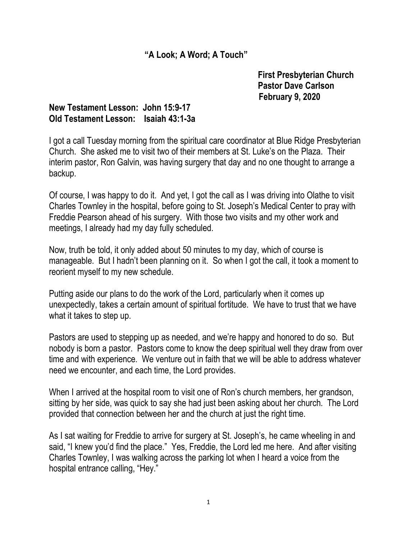## "A Look; A Word; A Touch"

 First Presbyterian Church Pastor Dave Carlson February 9, 2020

## New Testament Lesson: John 15:9-17 Old Testament Lesson: Isaiah 43:1-3a

I got a call Tuesday morning from the spiritual care coordinator at Blue Ridge Presbyterian Church. She asked me to visit two of their members at St. Luke's on the Plaza. Their interim pastor, Ron Galvin, was having surgery that day and no one thought to arrange a backup.

Of course, I was happy to do it. And yet, I got the call as I was driving into Olathe to visit Charles Townley in the hospital, before going to St. Joseph's Medical Center to pray with Freddie Pearson ahead of his surgery. With those two visits and my other work and meetings, I already had my day fully scheduled.

Now, truth be told, it only added about 50 minutes to my day, which of course is manageable. But I hadn't been planning on it. So when I got the call, it took a moment to reorient myself to my new schedule.

Putting aside our plans to do the work of the Lord, particularly when it comes up unexpectedly, takes a certain amount of spiritual fortitude. We have to trust that we have what it takes to step up.

Pastors are used to stepping up as needed, and we're happy and honored to do so. But nobody is born a pastor. Pastors come to know the deep spiritual well they draw from over time and with experience. We venture out in faith that we will be able to address whatever need we encounter, and each time, the Lord provides.

When I arrived at the hospital room to visit one of Ron's church members, her grandson, sitting by her side, was quick to say she had just been asking about her church. The Lord provided that connection between her and the church at just the right time.

As I sat waiting for Freddie to arrive for surgery at St. Joseph's, he came wheeling in and said, "I knew you'd find the place." Yes, Freddie, the Lord led me here. And after visiting Charles Townley, I was walking across the parking lot when I heard a voice from the hospital entrance calling, "Hey."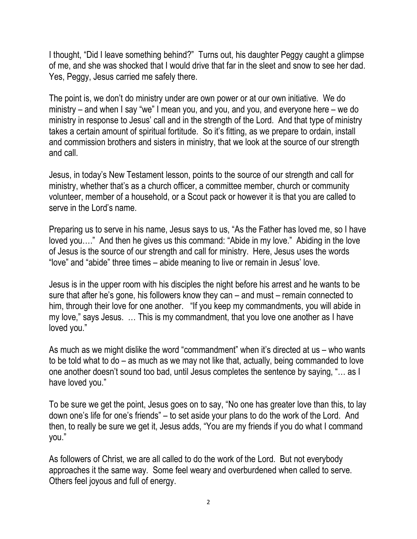I thought, "Did I leave something behind?" Turns out, his daughter Peggy caught a glimpse of me, and she was shocked that I would drive that far in the sleet and snow to see her dad. Yes, Peggy, Jesus carried me safely there.

The point is, we don't do ministry under are own power or at our own initiative. We do ministry – and when I say "we" I mean you, and you, and you, and everyone here – we do ministry in response to Jesus' call and in the strength of the Lord. And that type of ministry takes a certain amount of spiritual fortitude. So it's fitting, as we prepare to ordain, install and commission brothers and sisters in ministry, that we look at the source of our strength and call.

Jesus, in today's New Testament lesson, points to the source of our strength and call for ministry, whether that's as a church officer, a committee member, church or community volunteer, member of a household, or a Scout pack or however it is that you are called to serve in the Lord's name.

Preparing us to serve in his name, Jesus says to us, "As the Father has loved me, so I have loved you…." And then he gives us this command: "Abide in my love." Abiding in the love of Jesus is the source of our strength and call for ministry. Here, Jesus uses the words "love" and "abide" three times – abide meaning to live or remain in Jesus' love.

Jesus is in the upper room with his disciples the night before his arrest and he wants to be sure that after he's gone, his followers know they can – and must – remain connected to him, through their love for one another. "If you keep my commandments, you will abide in my love," says Jesus. … This is my commandment, that you love one another as I have loved you."

As much as we might dislike the word "commandment" when it's directed at us – who wants to be told what to do – as much as we may not like that, actually, being commanded to love one another doesn't sound too bad, until Jesus completes the sentence by saying, "… as I have loved you."

To be sure we get the point, Jesus goes on to say, "No one has greater love than this, to lay down one's life for one's friends" – to set aside your plans to do the work of the Lord. And then, to really be sure we get it, Jesus adds, "You are my friends if you do what I command you."

As followers of Christ, we are all called to do the work of the Lord. But not everybody approaches it the same way. Some feel weary and overburdened when called to serve. Others feel joyous and full of energy.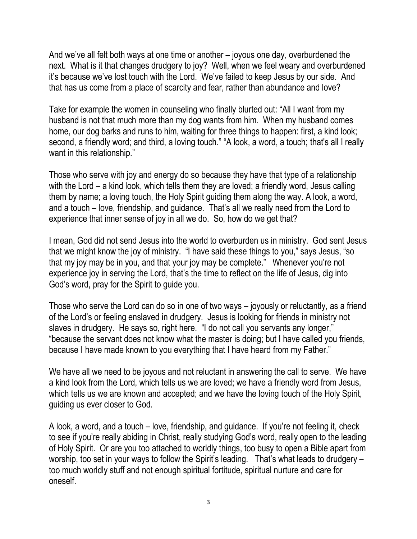And we've all felt both ways at one time or another – joyous one day, overburdened the next. What is it that changes drudgery to joy? Well, when we feel weary and overburdened it's because we've lost touch with the Lord. We've failed to keep Jesus by our side. And that has us come from a place of scarcity and fear, rather than abundance and love?

Take for example the women in counseling who finally blurted out: "All I want from my husband is not that much more than my dog wants from him. When my husband comes home, our dog barks and runs to him, waiting for three things to happen: first, a kind look; second, a friendly word; and third, a loving touch." "A look, a word, a touch; that's all I really want in this relationship."

Those who serve with joy and energy do so because they have that type of a relationship with the Lord – a kind look, which tells them they are loved; a friendly word, Jesus calling them by name; a loving touch, the Holy Spirit guiding them along the way. A look, a word, and a touch – love, friendship, and guidance. That's all we really need from the Lord to experience that inner sense of joy in all we do. So, how do we get that?

I mean, God did not send Jesus into the world to overburden us in ministry. God sent Jesus that we might know the joy of ministry. "I have said these things to you," says Jesus, "so that my joy may be in you, and that your joy may be complete." Whenever you're not experience joy in serving the Lord, that's the time to reflect on the life of Jesus, dig into God's word, pray for the Spirit to guide you.

Those who serve the Lord can do so in one of two ways – joyously or reluctantly, as a friend of the Lord's or feeling enslaved in drudgery. Jesus is looking for friends in ministry not slaves in drudgery. He says so, right here. "I do not call you servants any longer," "because the servant does not know what the master is doing; but I have called you friends, because I have made known to you everything that I have heard from my Father."

We have all we need to be joyous and not reluctant in answering the call to serve. We have a kind look from the Lord, which tells us we are loved; we have a friendly word from Jesus, which tells us we are known and accepted; and we have the loving touch of the Holy Spirit, guiding us ever closer to God.

A look, a word, and a touch – love, friendship, and guidance. If you're not feeling it, check to see if you're really abiding in Christ, really studying God's word, really open to the leading of Holy Spirit. Or are you too attached to worldly things, too busy to open a Bible apart from worship, too set in your ways to follow the Spirit's leading. That's what leads to drudgery – too much worldly stuff and not enough spiritual fortitude, spiritual nurture and care for oneself.